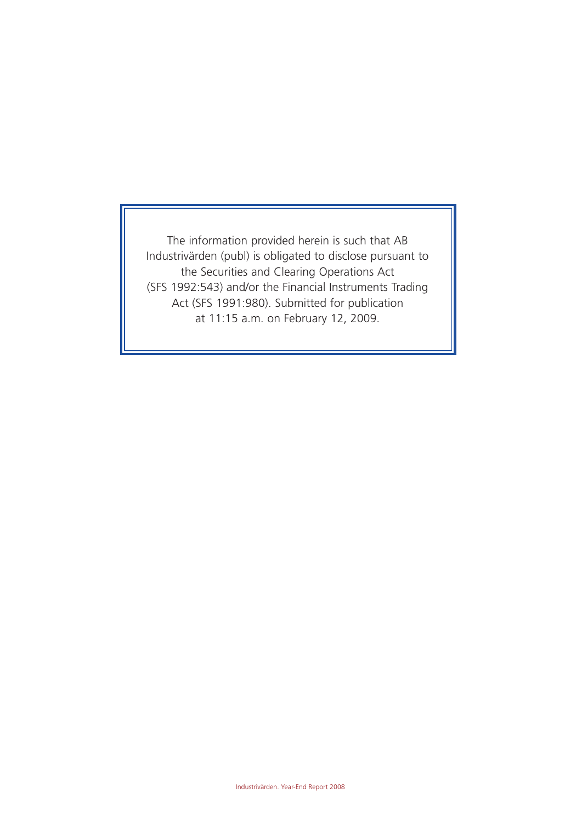The information provided herein is such that AB Industrivärden (publ) is obligated to disclose pursuant to the Securities and Clearing Operations Act (SFS 1992:543) and/or the Financial Instruments Trading Act (SFS 1991:980). Submitted for publication at 11:15 a.m. on February 12, 2009.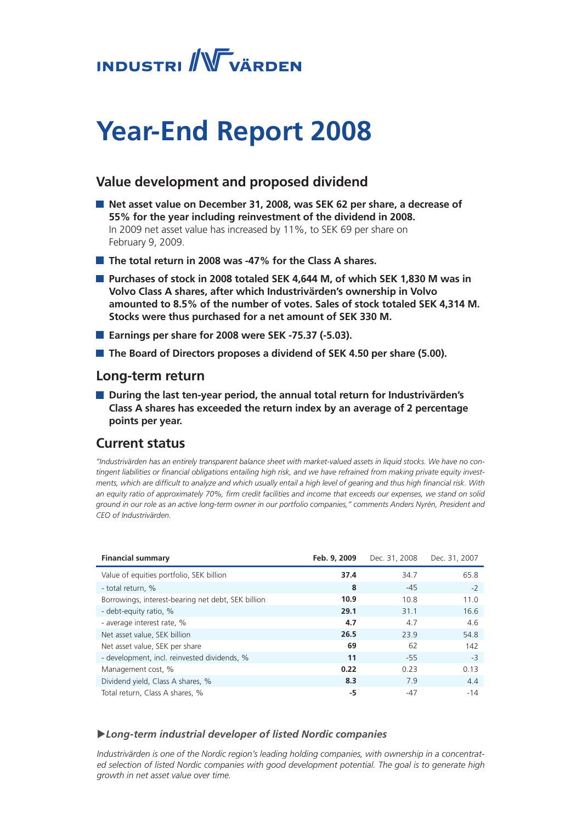

## **Year-End Report 2008**

### **Value development and proposed dividend**

- Net asset value on December 31, 2008, was SEK 62 per share, a decrease of **55% for the year including reinvestment of the dividend in 2008.**  In 2009 net asset value has increased by 11%, to SEK 69 per share on February 9, 2009.
- **The total return in 2008 was -47% for the Class A shares.**
- **Purchases of stock in 2008 totaled SEK 4,644 M, of which SEK 1,830 M was in Volvo Class A shares, after which Industrivärden's ownership in Volvo amounted to 8.5% of the number of votes. Sales of stock totaled SEK 4,314 M. Stocks were thus purchased for a net amount of SEK 330 M.**
- **Earnings per share for 2008 were SEK -75.37 (-5.03).**
- **The Board of Directors proposes a dividend of SEK 4.50 per share (5.00).**

#### **Long-term return**

■ During the last ten-year period, the annual total return for Industrivärden's **Class A shares has exceeded the return index by an average of 2 percentage points per year.**

### **Current status**

*"Industrivärden has an entirely transparent balance sheet with market-valued assets in liquid stocks. We have no contingent liabilities or financial obligations entailing high risk, and we have refrained from making private equity investments, which are difficult to analyze and which usually entail a high level of gearing and thus high financial risk. With an equity ratio of approximately 70%, firm credit facilities and income that exceeds our expenses, we stand on solid ground in our role as an active long-term owner in our portfolio companies," comments Anders Nyrén, President and CEO of Industrivärden.* 

| <b>Financial summary</b>                           | Feb. 9, 2009 | Dec. 31, 2008 | Dec. 31, 2007 |
|----------------------------------------------------|--------------|---------------|---------------|
| Value of equities portfolio, SEK billion           | 37.4         | 34.7          | 65.8          |
| - total return, %                                  | 8            | $-45$         | $-2$          |
| Borrowings, interest-bearing net debt, SEK billion | 10.9         | 10.8          | 11.0          |
| - debt-equity ratio, %                             | 29.1         | 31.1          | 16.6          |
| - average interest rate, %                         | 4.7          | 4.7           | 4.6           |
| Net asset value, SEK billion                       | 26.5         | 23.9          | 54.8          |
| Net asset value, SEK per share                     | 69           | 62            | 142           |
| - development, incl. reinvested dividends, %       | 11           | $-55$         | $-3$          |
| Management cost, %                                 | 0.22         | 0.23          | 0.13          |
| Dividend yield, Class A shares, %                  | 8.3          | 7.9           | 4.4           |
| Total return, Class A shares, %                    | -5           | $-47$         | $-14$         |

#### u*Long-term industrial developer of listed Nordic companies*

*Industrivärden is one of the Nordic region's leading holding companies, with ownership in a concentrated selection of listed Nordic companies with good development potential. The goal is to generate high growth in net asset value over time.*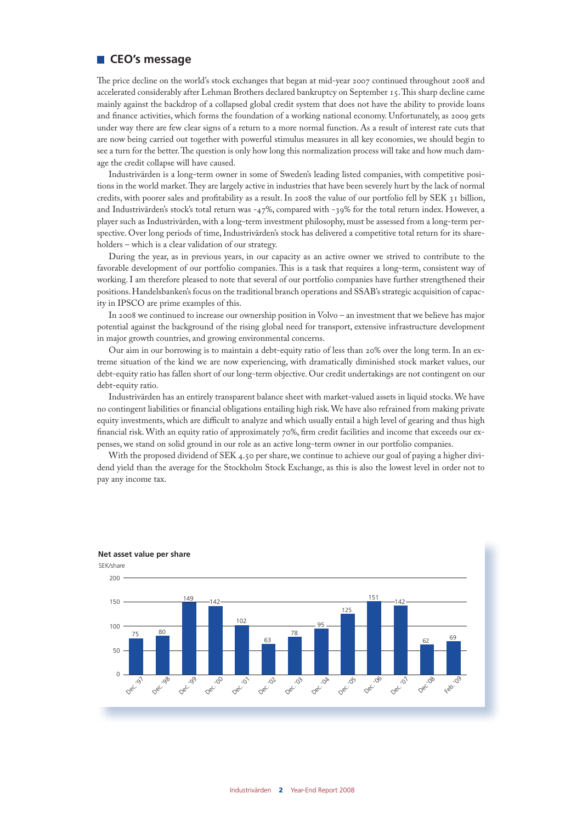#### **CEO's message**

The price decline on the world's stock exchanges that began at mid-year 2007 continued throughout 2008 and accelerated considerably after Lehman Brothers declared bankruptcy on September 15. This sharp decline came mainly against the backdrop of a collapsed global credit system that does not have the ability to provide loans and finance activities, which forms the foundation of a working national economy. Unfortunately, as 2009 gets under way there are few clear signs of a return to a more normal function. As a result of interest rate cuts that are now being carried out together with powerful stimulus measures in all key economies, we should begin to see a turn for the better. The question is only how long this normalization process will take and how much damage the credit collapse will have caused.

Industrivärden is a long-term owner in some of Sweden's leading listed companies, with competitive positions in the world market. They are largely active in industries that have been severely hurt by the lack of normal credits, with poorer sales and profitability as a result. In 2008 the value of our portfolio fell by SEK 31 billion, and Industrivärden's stock's total return was -47%, compared with -39% for the total return index. However, a player such as Industrivärden, with a long-term investment philosophy, must be assessed from a long-term perspective. Over long periods of time, Industrivärden's stock has delivered a competitive total return for its shareholders – which is a clear validation of our strategy.

During the year, as in previous years, in our capacity as an active owner we strived to contribute to the favorable development of our portfolio companies. This is a task that requires a long-term, consistent way of working. I am therefore pleased to note that several of our portfolio companies have further strengthened their positions. Handelsbanken's focus on the traditional branch operations and SSAB's strategic acquisition of capacity in IPSCO are prime examples of this.

In 2008 we continued to increase our ownership position in Volvo – an investment that we believe has major potential against the background of the rising global need for transport, extensive infrastructure development in major growth countries, and growing environmental concerns.

Our aim in our borrowing is to maintain a debt-equity ratio of less than 20% over the long term. In an extreme situation of the kind we are now experiencing, with dramatically diminished stock market values, our debt-equity ratio has fallen short of our long-term objective. Our credit undertakings are not contingent on our debt-equity ratio.

Industrivärden has an entirely transparent balance sheet with market-valued assets in liquid stocks. We have no contingent liabilities or financial obligations entailing high risk. We have also refrained from making private equity investments, which are difficult to analyze and which usually entail a high level of gearing and thus high financial risk. With an equity ratio of approximately 70%, firm credit facilities and income that exceeds our expenses, we stand on solid ground in our role as an active long-term owner in our portfolio companies.

With the proposed dividend of SEK 4.50 per share, we continue to achieve our goal of paying a higher dividend yield than the average for the Stockholm Stock Exchange, as this is also the lowest level in order not to pay any income tax.

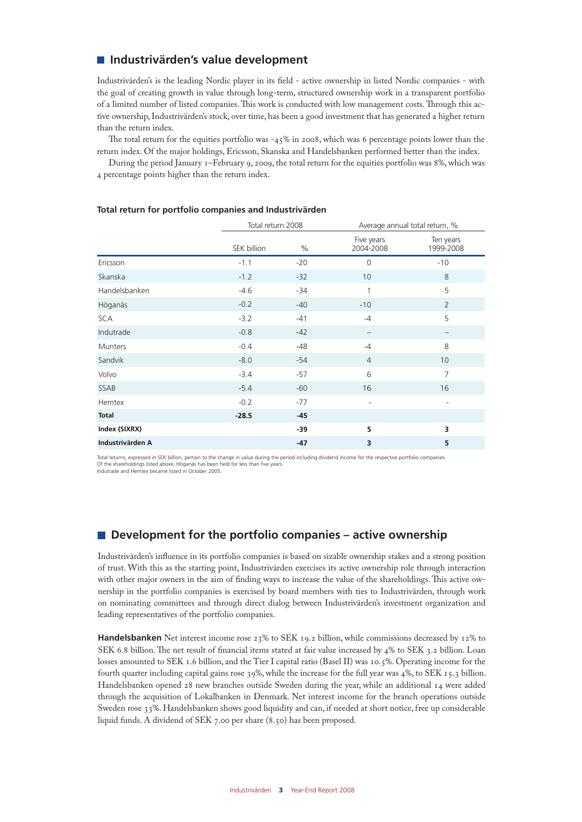#### **Industrivärden's value development**

Industrivärden's is the leading Nordic player in its field - active ownership in listed Nordic companies - with the goal of creating growth in value through long-term, structured ownership work in a transparent portfolio of a limited number of listed companies. This work is conducted with low management costs. Through this active ownership, Industrivärden's stock, over time, has been a good investment that has generated a higher return than the return index.

The total return for the equities portfolio was -45% in 2008, which was 6 percentage points lower than the return index. Of the major holdings, Ericsson, Skanska and Handelsbanken performed better than the index.

During the period January 1–February 9, 2009, the total return for the equities portfolio was 8%, which was 4 percentage points higher than the return index.

|                  | Total return 2008 |       | Average annual total return, % |                          |
|------------------|-------------------|-------|--------------------------------|--------------------------|
|                  | SEK billion       | $\%$  | Five years<br>2004-2008        | Ten years<br>1999-2008   |
| Ericsson         | $-1.1$            | $-20$ | $\mathbf 0$                    | $-10$                    |
| Skanska          | $-1.2$            | $-32$ | 10                             | 8                        |
| Handelsbanken    | $-4.6$            | $-34$ | 1                              | 5                        |
| Höganäs          | $-0.2$            | $-40$ | $-10$                          | $\overline{2}$           |
| <b>SCA</b>       | $-3.2$            | $-41$ | $-4$                           | 5                        |
| Indutrade        | $-0.8$            | $-42$ |                                |                          |
| Munters          | $-0.4$            | $-48$ | $-4$                           | 8                        |
| Sandvik          | $-8.0$            | $-54$ | $\overline{4}$                 | 10                       |
| Volvo            | $-3.4$            | $-57$ | 6                              | $\overline{7}$           |
| SSAB             | $-5.4$            | $-60$ | 16                             | 16                       |
| Hemtex           | $-0.2$            | $-77$ | $\overline{\phantom{a}}$       | $\overline{\phantom{a}}$ |
| <b>Total</b>     | $-28.5$           | $-45$ |                                |                          |
| Index (SIXRX)    |                   | $-39$ | 5                              | 3                        |
| Industrivärden A |                   | -47   | 3                              | 5                        |

#### **Total return for portfolio companies and Industrivärden**

Total returns, expressed in SEK billion, pertain to the change in value during the period including dividend income for the respective portfolio companies. Of the shareholdings listed above, Höganäs has been held for less than five years.

Indutrade and Hemtex became listed in October 2005.

#### **Development for the portfolio companies – active ownership**

Industrivärden's influence in its portfolio companies is based on sizable ownership stakes and a strong position of trust. With this as the starting point, Industrivärden exercises its active ownership role through interaction with other major owners in the aim of finding ways to increase the value of the shareholdings. This active ownership in the portfolio companies is exercised by board members with ties to Industrivärden, through work on nominating committees and through direct dialog between Industrivärden's investment organization and leading representatives of the portfolio companies.

**Handelsbanken** Net interest income rose 23% to SEK 19.2 billion, while commissions decreased by 12% to SEK 6.8 billion. The net result of financial items stated at fair value increased by 4% to SEK 3.2 billion. Loan losses amounted to SEK 1.6 billion, and the Tier I capital ratio (Basel II) was 10.5%. Operating income for the fourth quarter including capital gains rose 39%, while the increase for the full year was 4%, to SEK 15.3 billion. Handelsbanken opened 28 new branches outside Sweden during the year, while an additional 14 were added through the acquisition of Lokalbanken in Denmark. Net interest income for the branch operations outside Sweden rose 33%. Handelsbanken shows good liquidity and can, if needed at short notice, free up considerable liquid funds. A dividend of SEK 7.00 per share (8.50) has been proposed.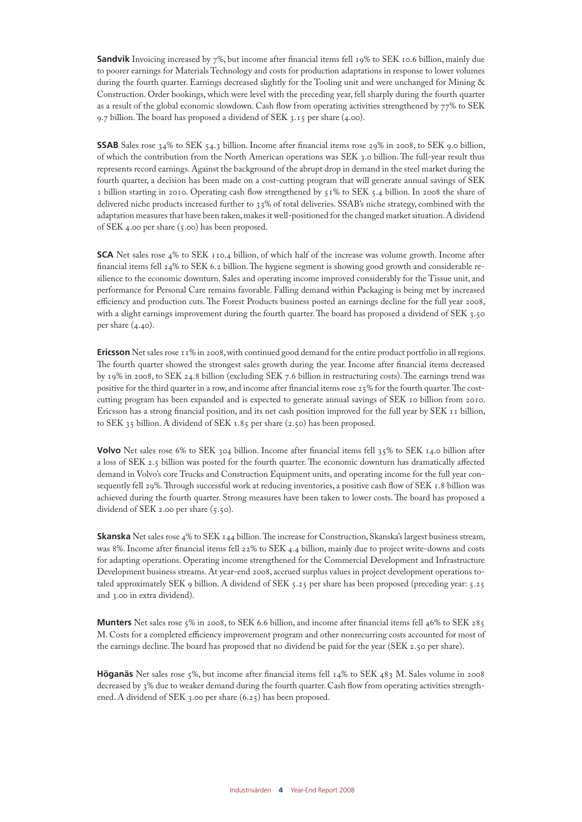**Sandvik** Invoicing increased by 7%, but income after financial items fell 19% to SEK 10.6 billion, mainly due to poorer earnings for Materials Technology and costs for production adaptations in response to lower volumes during the fourth quarter. Earnings decreased slightly for the Tooling unit and were unchanged for Mining & Construction. Order bookings, which were level with the preceding year, fell sharply during the fourth quarter as a result of the global economic slowdown. Cash flow from operating activities strengthened by 77% to SEK 9.7 billion. The board has proposed a dividend of SEK 3.15 per share (4.00).

**SSAB** Sales rose 34% to SEK 54.3 billion. Income after financial items rose 29% in 2008, to SEK 9.0 billion, of which the contribution from the North American operations was SEK 3.0 billion. The full-year result thus represents record earnings. Against the background of the abrupt drop in demand in the steel market during the fourth quarter, a decision has been made on a cost-cutting program that will generate annual savings of SEK 1 billion starting in 2010. Operating cash flow strengthened by 51% to SEK 5.4 billion. In 2008 the share of delivered niche products increased further to 33% of total deliveries. SSAB's niche strategy, combined with the adaptation measures that have been taken, makes it well-positioned for the changed market situation. A dividend of SEK 4.00 per share (5.00) has been proposed.

**SCA** Net sales rose 4% to SEK 110.4 billion, of which half of the increase was volume growth. Income after financial items fell 24% to SEK 6.2 billion. The hygiene segment is showing good growth and considerable resilience to the economic downturn. Sales and operating income improved considerably for the Tissue unit, and performance for Personal Care remains favorable. Falling demand within Packaging is being met by increased efficiency and production cuts. The Forest Products business posted an earnings decline for the full year 2008, with a slight earnings improvement during the fourth quarter. The board has proposed a dividend of SEK 3.50 per share  $(4.40)$ .

**Ericsson** Net sales rose 11% in 2008, with continued good demand for the entire product portfolio in all regions. The fourth quarter showed the strongest sales growth during the year. Income after financial items decreased by 19% in 2008, to SEK 24.8 billion (excluding SEK 7.6 billion in restructuring costs). The earnings trend was positive for the third quarter in a row, and income after financial items rose 25% for the fourth quarter. The costcutting program has been expanded and is expected to generate annual savings of SEK 10 billion from 2010. Ericsson has a strong financial position, and its net cash position improved for the full year by SEK 11 billion, to SEK 35 billion. A dividend of SEK 1.85 per share (2.50) has been proposed.

**Volvo** Net sales rose 6% to SEK 304 billion. Income after financial items fell 35% to SEK 14.0 billion after a loss of SEK 2.5 billion was posted for the fourth quarter. The economic downturn has dramatically affected demand in Volvo's core Trucks and Construction Equipment units, and operating income for the full year consequently fell 29%. Through successful work at reducing inventories, a positive cash flow of SEK 1.8 billion was achieved during the fourth quarter. Strong measures have been taken to lower costs. The board has proposed a dividend of SEK 2.00 per share (5.50).

**Skanska** Net sales rose 4% to SEK 144 billion. The increase for Construction, Skanska's largest business stream, was 8%. Income after financial items fell 22% to SEK 4.4 billion, mainly due to project write-downs and costs for adapting operations. Operating income strengthened for the Commercial Development and Infrastructure Development business streams. At year-end 2008, accrued surplus values in project development operations totaled approximately SEK 9 billion. A dividend of SEK 5.25 per share has been proposed (preceding year: 5.25 and 3.00 in extra dividend).

**Munters** Net sales rose 5% in 2008, to SEK 6.6 billion, and income after financial items fell 46% to SEK 285 M. Costs for a completed efficiency improvement program and other nonrecurring costs accounted for most of the earnings decline. The board has proposed that no dividend be paid for the year (SEK 2.50 per share).

**Höganäs** Net sales rose 5%, but income after financial items fell 14% to SEK 483 M. Sales volume in 2008 decreased by 3% due to weaker demand during the fourth quarter. Cash flow from operating activities strengthened. A dividend of SEK 3.00 per share (6.25) has been proposed.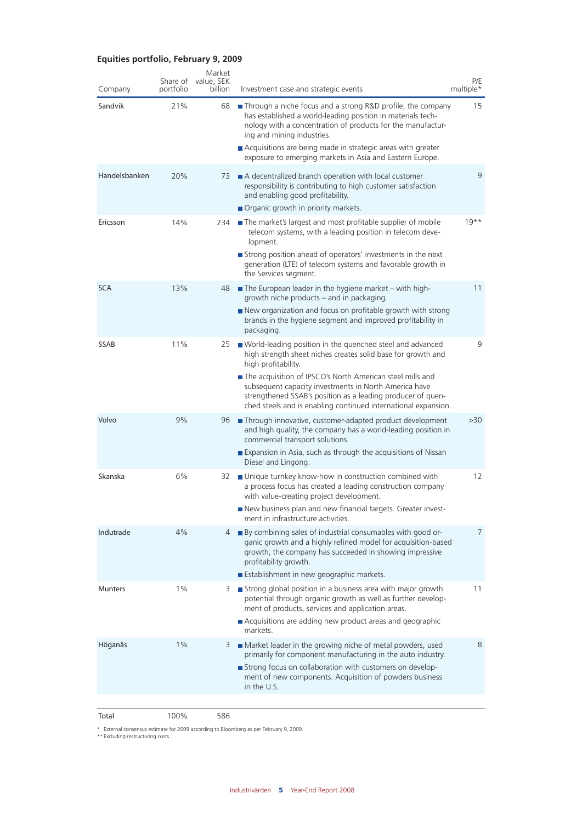#### **Equities portfolio, February 9, 2009**

| Company        | Share of<br>portfolio | Market<br>value, SEK<br>billion | Investment case and strategic events                                                                                                                                                                                                                | P/E<br>multiple* |
|----------------|-----------------------|---------------------------------|-----------------------------------------------------------------------------------------------------------------------------------------------------------------------------------------------------------------------------------------------------|------------------|
| Sandvik        | 21%                   | 68                              | <b>Through a niche focus and a strong R&amp;D profile, the company</b><br>has established a world-leading position in materials tech-<br>nology with a concentration of products for the manufactur-<br>ing and mining industries.                  | 15               |
|                |                       |                                 | Acquisitions are being made in strategic areas with greater<br>exposure to emerging markets in Asia and Eastern Europe.                                                                                                                             |                  |
| Handelsbanken  | 20%                   | 73                              | A decentralized branch operation with local customer<br>responsibility is contributing to high customer satisfaction<br>and enabling good profitability.<br>Organic growth in priority markets.                                                     | 9                |
| Ericsson       | 14%                   | 234                             | The market's largest and most profitable supplier of mobile<br>telecom systems, with a leading position in telecom deve-<br>lopment.                                                                                                                | $19**$           |
|                |                       |                                 | Strong position ahead of operators' investments in the next<br>generation (LTE) of telecom systems and favorable growth in<br>the Services segment.                                                                                                 |                  |
| <b>SCA</b>     | 13%                   | 48                              | $\blacksquare$ The European leader in the hygiene market – with high-<br>growth niche products – and in packaging.                                                                                                                                  | 11               |
|                |                       |                                 | New organization and focus on profitable growth with strong<br>brands in the hygiene segment and improved profitability in<br>packaging.                                                                                                            |                  |
| <b>SSAB</b>    | 11%                   | 25                              | ■ World-leading position in the quenched steel and advanced<br>high strength sheet niches creates solid base for growth and<br>high profitability.                                                                                                  | 9                |
|                |                       |                                 | The acquisition of IPSCO's North American steel mills and<br>subsequent capacity investments in North America have<br>strengthened SSAB's position as a leading producer of quen-<br>ched steels and is enabling continued international expansion. |                  |
| Volvo          | 9%                    | 96                              | Through innovative, customer-adapted product development<br>and high quality, the company has a world-leading position in<br>commercial transport solutions.                                                                                        | >30              |
|                |                       |                                 | Expansion in Asia, such as through the acquisitions of Nissan<br>Diesel and Lingong.                                                                                                                                                                |                  |
| Skanska        | 6%                    | 32                              | ■ Unique turnkey know-how in construction combined with<br>a process focus has created a leading construction company<br>with value-creating project development.                                                                                   | 12               |
|                |                       |                                 | New business plan and new financial targets. Greater invest-<br>ment in infrastructure activities.                                                                                                                                                  |                  |
| Indutrade      | 4%                    | 4                               | By combining sales of industrial consumables with good or-<br>ganic growth and a highly refined model for acquisition-based<br>growth, the company has succeeded in showing impressive<br>profitability growth.                                     | 7                |
| <b>Munters</b> | $1\%$                 | 3                               | Establishment in new geographic markets.<br>Strong global position in a business area with major growth                                                                                                                                             | 11               |
|                |                       |                                 | potential through organic growth as well as further develop-<br>ment of products, services and application areas.<br>Acquisitions are adding new product areas and geographic<br>markets.                                                           |                  |
| Höganäs        | 1%                    | 3                               | Market leader in the growing niche of metal powders, used<br>primarily for component manufacturing in the auto industry.                                                                                                                            | 8                |
|                |                       |                                 | Strong focus on collaboration with customers on develop-<br>ment of new components. Acquisition of powders business<br>in the U.S.                                                                                                                  |                  |
|                |                       |                                 |                                                                                                                                                                                                                                                     |                  |

Total 100% 586

\* External consensus estimate for 2009 according to Bloomberg as per February 9, 2009. \*\* Excluding restructuring costs.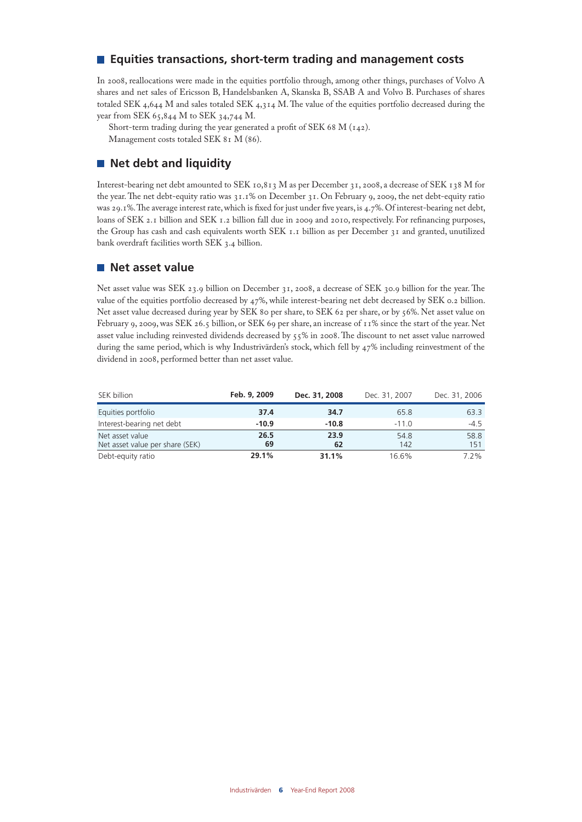#### **Equities transactions, short-term trading and management costs**

In 2008, reallocations were made in the equities portfolio through, among other things, purchases of Volvo A shares and net sales of Ericsson B, Handelsbanken A, Skanska B, SSAB A and Volvo B. Purchases of shares totaled SEK 4,644 M and sales totaled SEK 4,314 M. The value of the equities portfolio decreased during the year from SEK 65,844 M to SEK 34,744 M.

Short-term trading during the year generated a profit of SEK 68 M (142). Management costs totaled SEK 81 M (86).

#### **Net debt and liquidity**

Interest-bearing net debt amounted to SEK 10,813 M as per December 31, 2008, a decrease of SEK 138 M for the year. The net debt-equity ratio was 31.1% on December 31. On February 9, 2009, the net debt-equity ratio was 29.1%. The average interest rate, which is fixed for just under five years, is 4.7%. Of interest-bearing net debt, loans of SEK 2.1 billion and SEK 1.2 billion fall due in 2009 and 2010, respectively. For refinancing purposes, the Group has cash and cash equivalents worth SEK 1.1 billion as per December 31 and granted, unutilized bank overdraft facilities worth SEK 3.4 billion.

#### **Net asset value**

Net asset value was SEK 23.9 billion on December 31, 2008, a decrease of SEK 30.9 billion for the year. The value of the equities portfolio decreased by 47%, while interest-bearing net debt decreased by SEK 0.2 billion. Net asset value decreased during year by SEK 80 per share, to SEK 62 per share, or by 56%. Net asset value on February 9, 2009, was SEK 26.5 billion, or SEK 69 per share, an increase of 11% since the start of the year. Net asset value including reinvested dividends decreased by 55% in 2008. The discount to net asset value narrowed during the same period, which is why Industrivärden's stock, which fell by 47% including reinvestment of the dividend in 2008, performed better than net asset value.

| SEK billion                                        | Feb. 9, 2009 | Dec. 31, 2008 | Dec. 31, 2007 | Dec. 31, 2006 |
|----------------------------------------------------|--------------|---------------|---------------|---------------|
| Equities portfolio                                 | 37.4         | 34.7          | 65.8          | 63.3          |
| Interest-bearing net debt                          | $-10.9$      | $-10.8$       | $-110$        | $-4.5$        |
| Net asset value<br>Net asset value per share (SEK) | 26.5<br>69   | 23.9<br>62    | 54.8<br>142   | 58.8<br>151   |
| Debt-equity ratio                                  | 29.1%        | 31.1%         | 16.6%         | $7.2\%$       |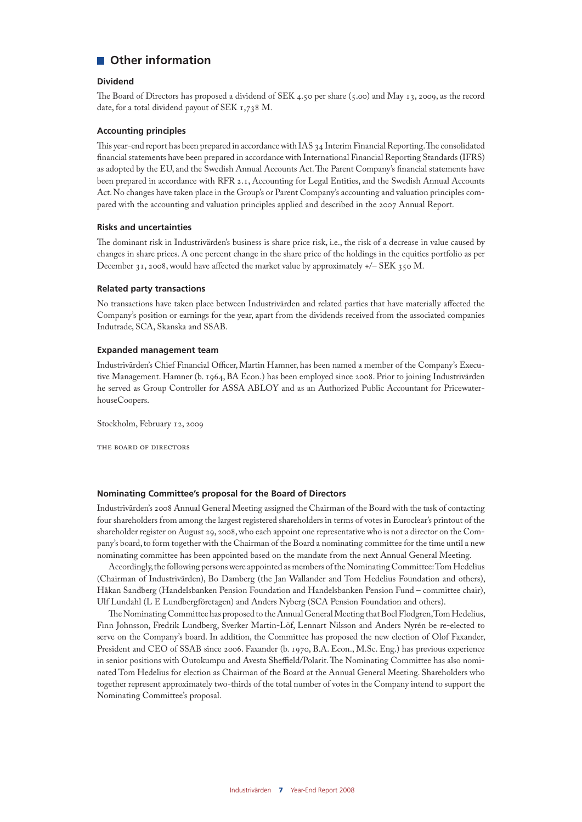#### **Other information**

#### **Dividend**

The Board of Directors has proposed a dividend of SEK 4.50 per share (5.00) and May 13, 2009, as the record date, for a total dividend payout of SEK 1,738 M.

#### **Accounting principles**

This year-end report has been prepared in accordance with IAS 34 Interim Financial Reporting. The consolidated financial statements have been prepared in accordance with International Financial Reporting Standards (IFRS) as adopted by the EU, and the Swedish Annual Accounts Act. The Parent Company's financial statements have been prepared in accordance with RFR 2.1, Accounting for Legal Entities, and the Swedish Annual Accounts Act. No changes have taken place in the Group's or Parent Company's accounting and valuation principles compared with the accounting and valuation principles applied and described in the 2007 Annual Report.

#### **Risks and uncertainties**

The dominant risk in Industrivärden's business is share price risk, i.e., the risk of a decrease in value caused by changes in share prices. A one percent change in the share price of the holdings in the equities portfolio as per December 31, 2008, would have affected the market value by approximately +/– SEK 350 M.

#### **Related party transactions**

No transactions have taken place between Industrivärden and related parties that have materially affected the Company's position or earnings for the year, apart from the dividends received from the associated companies Indutrade, SCA, Skanska and SSAB.

#### **Expanded management team**

Industrivärden's Chief Financial Officer, Martin Hamner, has been named a member of the Company's Executive Management. Hamner (b. 1964, BA Econ.) has been employed since 2008. Prior to joining Industrivärden he served as Group Controller for ASSA ABLOY and as an Authorized Public Accountant for PricewaterhouseCoopers.

Stockholm, February 12, 2009

the board of directors

#### **Nominating Committee's proposal for the Board of Directors**

Industrivärden's 2008 Annual General Meeting assigned the Chairman of the Board with the task of contacting four shareholders from among the largest registered shareholders in terms of votes in Euroclear's printout of the shareholder register on August 29, 2008, who each appoint one representative who is not a director on the Company's board, to form together with the Chairman of the Board a nominating committee for the time until a new nominating committee has been appointed based on the mandate from the next Annual General Meeting.

Accordingly, the following persons were appointed as members of the Nominating Committee: Tom Hedelius (Chairman of Industrivärden), Bo Damberg (the Jan Wallander and Tom Hedelius Foundation and others), Håkan Sandberg (Handelsbanken Pension Foundation and Handelsbanken Pension Fund – committee chair), Ulf Lundahl (L E Lundbergföretagen) and Anders Nyberg (SCA Pension Foundation and others).

The Nominating Committee has proposed to the Annual General Meeting that Boel Flodgren, Tom Hedelius, Finn Johnsson, Fredrik Lundberg, Sverker Martin-Löf, Lennart Nilsson and Anders Nyrén be re-elected to serve on the Company's board. In addition, the Committee has proposed the new election of Olof Faxander, President and CEO of SSAB since 2006. Faxander (b. 1970, B.A. Econ., M.Sc. Eng.) has previous experience in senior positions with Outokumpu and Avesta Sheffield/Polarit. The Nominating Committee has also nominated Tom Hedelius for election as Chairman of the Board at the Annual General Meeting. Shareholders who together represent approximately two-thirds of the total number of votes in the Company intend to support the Nominating Committee's proposal.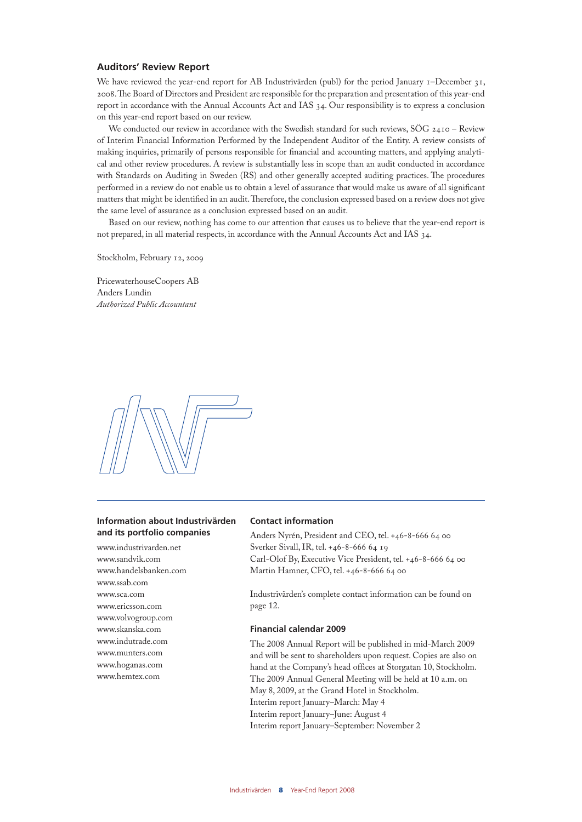#### **Auditors' Review Report**

We have reviewed the year-end report for AB Industrivärden (publ) for the period January 1–December 31, 2008. The Board of Directors and President are responsible for the preparation and presentation of this year-end report in accordance with the Annual Accounts Act and IAS 34. Our responsibility is to express a conclusion on this year-end report based on our review.

We conducted our review in accordance with the Swedish standard for such reviews, SÖG 2410 - Review of Interim Financial Information Performed by the Independent Auditor of the Entity. A review consists of making inquiries, primarily of persons responsible for financial and accounting matters, and applying analytical and other review procedures. A review is substantially less in scope than an audit conducted in accordance with Standards on Auditing in Sweden (RS) and other generally accepted auditing practices. The procedures performed in a review do not enable us to obtain a level of assurance that would make us aware of all significant matters that might be identified in an audit. Therefore, the conclusion expressed based on a review does not give the same level of assurance as a conclusion expressed based on an audit.

Based on our review, nothing has come to our attention that causes us to believe that the year-end report is not prepared, in all material respects, in accordance with the Annual Accounts Act and IAS 34.

Stockholm, February 12, 2009

PricewaterhouseCoopers AB Anders Lundin *Authorized Public Accountant*



#### **Information about Industrivärden and its portfolio companies**

www.industrivarden.net www.sandvik.com www.handelsbanken.com www.ssab.com www.sca.com www.ericsson.com www.volvogroup.com www.skanska.com www.indutrade.com www.munters.com www.hoganas.com www.hemtex.com

#### **Contact information**

Anders Nyrén, President and CEO, tel. +46-8-666 64 00 Sverker Sivall, IR, tel. +46-8-666 64 19 Carl-Olof By, Executive Vice President, tel. +46-8-666 64 00 Martin Hamner, CFO, tel. +46-8-666 64 00

Industrivärden's complete contact information can be found on page 12.

#### **Financial calendar 2009**

The 2008 Annual Report will be published in mid-March 2009 and will be sent to shareholders upon request. Copies are also on hand at the Company's head offices at Storgatan 10, Stockholm. The 2009 Annual General Meeting will be held at 10 a.m. on May 8, 2009, at the Grand Hotel in Stockholm. Interim report January–March: May 4 Interim report January–June: August 4 Interim report January–September: November 2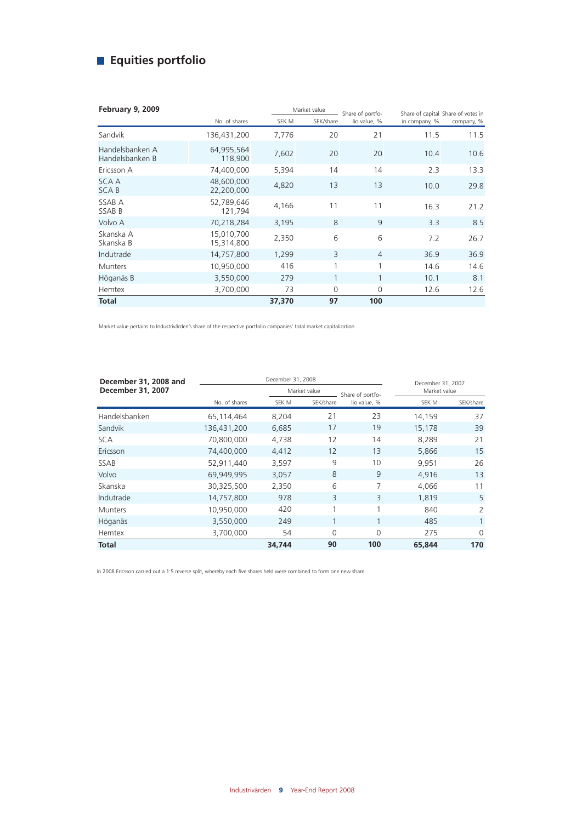## **Equities portfolio**

| February 9, 2009                   |                          | Market value |              | Share of portfo- | Share of capital Share of votes in |            |
|------------------------------------|--------------------------|--------------|--------------|------------------|------------------------------------|------------|
|                                    | No. of shares            | SEK M        | SEK/share    | lio value, %     | in company, %                      | company, % |
| Sandvik                            | 136,431,200              | 7,776        | 20           | 21               | 11.5                               | 11.5       |
| Handelsbanken A<br>Handelsbanken B | 64,995,564<br>118,900    | 7,602        | 20           | 20               | 10.4                               | 10.6       |
| Ericsson A                         | 74,400,000               | 5,394        | 14           | 14               | 2.3                                | 13.3       |
| <b>SCAA</b><br><b>SCAB</b>         | 48,600,000<br>22,200,000 | 4,820        | 13           | 13               | 10.0                               | 29.8       |
| SSAB A<br>SSAB B                   | 52,789,646<br>121,794    | 4,166        | 11           | 11               | 16.3                               | 21.2       |
| Volvo A                            | 70,218,284               | 3,195        | 8            | 9                | 3.3                                | 8.5        |
| Skanska A<br>Skanska B             | 15,010,700<br>15,314,800 | 2,350        | 6            | 6                | 7.2                                | 26.7       |
| Indutrade                          | 14,757,800               | 1,299        | 3            | $\overline{4}$   | 36.9                               | 36.9       |
| <b>Munters</b>                     | 10,950,000               | 416          | 1            | 1                | 14.6                               | 14.6       |
| Höganäs B                          | 3,550,000                | 279          | $\mathbf{1}$ | $\mathbf{1}$     | 10.1                               | 8.1        |
| Hemtex                             | 3,700,000                | 73           | $\Omega$     | 0                | 12.6                               | 12.6       |
| <b>Total</b>                       |                          | 37,370       | 97           | 100              |                                    |            |

Market value pertains to Industrivärden's share of the respective portfolio companies' total market capitalization.

| December 31, 2008 and    |               |        | December 31, 2007 |                  |              |              |
|--------------------------|---------------|--------|-------------------|------------------|--------------|--------------|
| <b>December 31, 2007</b> |               |        | Market value      | Share of portfo- | Market value |              |
|                          | No. of shares | SEK M  | SEK/share         | lio value, %     | SEK M        | SEK/share    |
| Handelsbanken            | 65,114,464    | 8,204  | 21                | 23               | 14.159       | 37           |
| Sandvik                  | 136,431,200   | 6,685  | 17                | 19               | 15,178       | 39           |
| <b>SCA</b>               | 70,800,000    | 4,738  | 12                | 14               | 8,289        | 21           |
| Ericsson                 | 74,400,000    | 4,412  | 12                | 13               | 5,866        | 15           |
| <b>SSAB</b>              | 52,911,440    | 3,597  | 9                 | 10               | 9,951        | 26           |
| Volvo                    | 69,949,995    | 3,057  | 8                 | 9                | 4,916        | 13           |
| Skanska                  | 30,325,500    | 2,350  | 6                 | 7                | 4.066        | 11           |
| Indutrade                | 14,757,800    | 978    | 3                 | 3                | 1,819        | 5            |
| <b>Munters</b>           | 10,950,000    | 420    | 1                 | 1                | 840          | 2            |
| Höganäs                  | 3,550,000     | 249    |                   |                  | 485          | $\mathbf{1}$ |
| Hemtex                   | 3,700,000     | 54     | $\Omega$          | $\overline{0}$   | 275          | $\Omega$     |
| Total                    |               | 34,744 | 90                | 100              | 65,844       | 170          |

In 2008 Ericsson carried out a 1:5 reverse split, whereby each five shares held were combined to form one new share.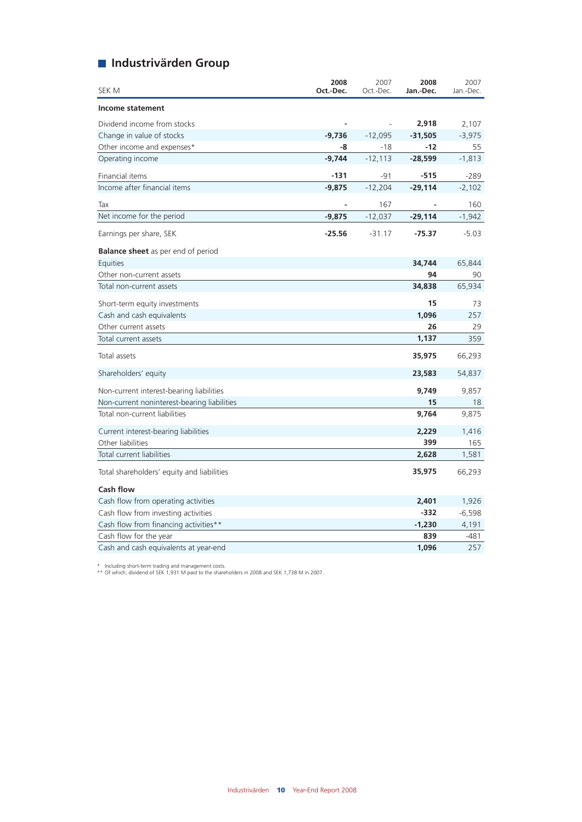## **Industrivärden Group**

| SEK M                                       | 2008<br>Oct.-Dec. | 2007<br>Oct.-Dec. | 2008<br>Jan.-Dec. | 2007<br>Jan.-Dec. |
|---------------------------------------------|-------------------|-------------------|-------------------|-------------------|
| Income statement                            |                   |                   |                   |                   |
| Dividend income from stocks                 |                   | $\overline{a}$    | 2,918             | 2,107             |
| Change in value of stocks                   | $-9,736$          | $-12,095$         | $-31,505$         | $-3,975$          |
| Other income and expenses*                  | -8                | $-18$             | $-12$             | 55                |
| Operating income                            | $-9,744$          | $-12,113$         | $-28,599$         | $-1,813$          |
| Financial items                             | -131              | $-91$             | $-515$            | $-289$            |
| Income after financial items                | $-9,875$          | $-12,204$         | $-29,114$         | $-2,102$          |
| Tax                                         |                   | 167               |                   | 160               |
| Net income for the period                   | $-9,875$          | $-12,037$         | $-29,114$         | $-1,942$          |
| Earnings per share, SEK                     | $-25.56$          | $-31.17$          | $-75.37$          | $-5.03$           |
| <b>Balance sheet</b> as per end of period   |                   |                   |                   |                   |
| Equities                                    |                   |                   | 34,744            | 65,844            |
| Other non-current assets                    |                   |                   | 94                | 90                |
| Total non-current assets                    |                   |                   | 34,838            | 65,934            |
| Short-term equity investments               |                   |                   | 15                | 73                |
| Cash and cash equivalents                   |                   |                   | 1,096             | 257               |
| Other current assets                        |                   |                   | 26                | 29                |
| Total current assets                        |                   |                   | 1,137             | 359               |
| Total assets                                |                   |                   | 35,975            | 66,293            |
| Shareholders' equity                        |                   |                   | 23,583            | 54,837            |
| Non-current interest-bearing liabilities    |                   |                   | 9,749             | 9,857             |
| Non-current noninterest-bearing liabilities |                   |                   | 15                | 18                |
| Total non-current liabilities               |                   |                   | 9,764             | 9,875             |
| Current interest-bearing liabilities        |                   |                   | 2,229             | 1,416             |
| Other liabilities                           |                   |                   | 399               | 165               |
| Total current liabilities                   |                   |                   | 2,628             | 1,581             |
| Total shareholders' equity and liabilities  |                   |                   | 35,975            | 66,293            |
| <b>Cash flow</b>                            |                   |                   |                   |                   |
| Cash flow from operating activities         |                   |                   | 2,401             | 1,926             |
| Cash flow from investing activities         |                   |                   | $-332$            | $-6,598$          |
| Cash flow from financing activities**       |                   |                   | $-1,230$          | 4,191             |
| Cash flow for the year                      |                   |                   | 839               | -481              |
| Cash and cash equivalents at year-end       |                   |                   | 1,096             | 257               |

\* Including short-term trading and management costs. \*\* Of which, dividend of SEK 1,931 M paid to the shareholders in 2008 and SEK 1,738 M in 2007.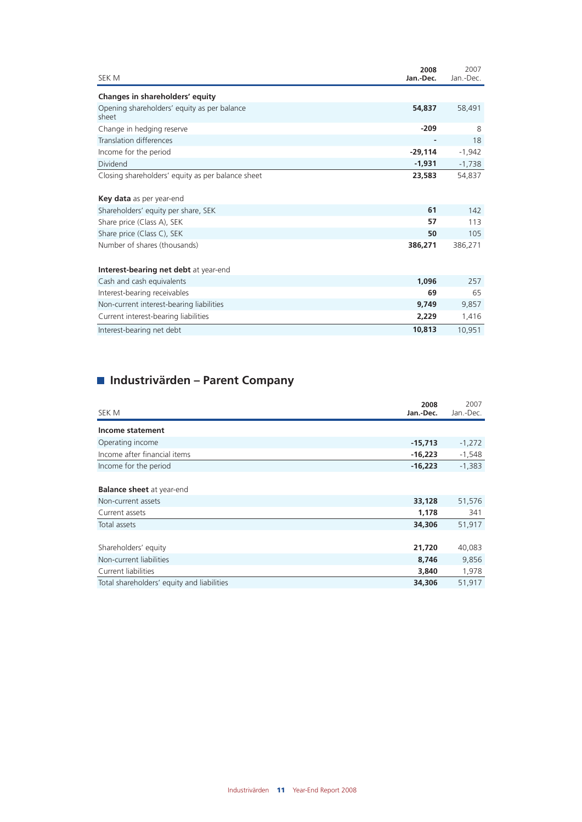| SEK M                                                | 2008<br>Jan.-Dec. | 2007<br>Jan.-Dec. |
|------------------------------------------------------|-------------------|-------------------|
| Changes in shareholders' equity                      |                   |                   |
| Opening shareholders' equity as per balance<br>sheet | 54,837            | 58,491            |
| Change in hedging reserve                            | $-209$            | 8                 |
| <b>Translation differences</b>                       | ٠                 | 18                |
| Income for the period                                | $-29,114$         | $-1,942$          |
| Dividend                                             | $-1,931$          | $-1,738$          |
| Closing shareholders' equity as per balance sheet    | 23,583            | 54,837            |
| <b>Key data</b> as per year-end                      |                   |                   |
| Shareholders' equity per share, SEK                  | 61                | 142               |
| Share price (Class A), SEK                           | 57                | 113               |
| Share price (Class C), SEK                           | 50                | 105               |
| Number of shares (thousands)                         | 386,271           | 386,271           |
| Interest-bearing net debt at year-end                |                   |                   |
| Cash and cash equivalents                            | 1,096             | 257               |
| Interest-bearing receivables                         | 69                | 65                |
| Non-current interest-bearing liabilities             | 9,749             | 9,857             |
| Current interest-bearing liabilities                 | 2,229             | 1,416             |
| Interest-bearing net debt                            | 10,813            | 10,951            |

## **Industrivärden – Parent Company**

| SEK M                                                  | 2008<br>Jan.-Dec. | 2007<br>Jan.-Dec. |
|--------------------------------------------------------|-------------------|-------------------|
| Income statement                                       |                   |                   |
| Operating income                                       | $-15,713$         | $-1,272$          |
| Income after financial items                           | $-16,223$         | $-1,548$          |
| Income for the period                                  | $-16,223$         | $-1,383$          |
| <b>Balance sheet</b> at year-end<br>Non-current assets | 33,128            | 51,576            |
| Current assets                                         | 1,178             | 341               |
| Total assets                                           | 34,306            | 51,917            |
|                                                        | 21,720            |                   |
| Shareholders' equity                                   |                   | 40,083            |
| Non-current liabilities                                | 8,746             | 9,856             |
| Current liabilities                                    | 3,840             | 1,978             |
| Total shareholders' equity and liabilities             | 34,306            | 51,917            |